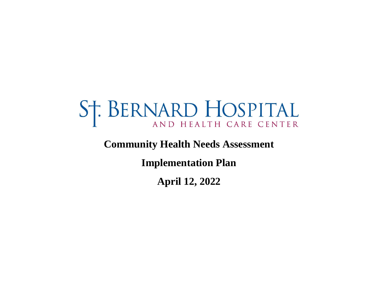# ST. BERNARD HOSPITAL

# **Community Health Needs Assessment**

**Implementation Plan**

**April 12, 2022**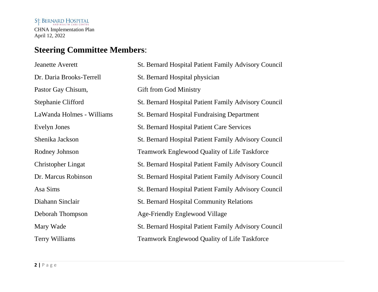# **Steering Committee Members**:

| <b>Jeanette Averett</b>   | St. Bernard Hospital Patient Family Advisory Council        |
|---------------------------|-------------------------------------------------------------|
| Dr. Daria Brooks-Terrell  | St. Bernard Hospital physician                              |
| Pastor Gay Chisum,        | <b>Gift from God Ministry</b>                               |
| Stephanie Clifford        | <b>St. Bernard Hospital Patient Family Advisory Council</b> |
| LaWanda Holmes - Williams | <b>St. Bernard Hospital Fundraising Department</b>          |
| Evelyn Jones              | <b>St. Bernard Hospital Patient Care Services</b>           |
| Shenika Jackson           | St. Bernard Hospital Patient Family Advisory Council        |
| Rodney Johnson            | <b>Teamwork Englewood Quality of Life Taskforce</b>         |
| <b>Christopher Lingat</b> | <b>St. Bernard Hospital Patient Family Advisory Council</b> |
| Dr. Marcus Robinson       | St. Bernard Hospital Patient Family Advisory Council        |
| Asa Sims                  | <b>St. Bernard Hospital Patient Family Advisory Council</b> |
| Diahann Sinclair          | <b>St. Bernard Hospital Community Relations</b>             |
| Deborah Thompson          | Age-Friendly Englewood Village                              |
| Mary Wade                 | St. Bernard Hospital Patient Family Advisory Council        |
| Terry Williams            | <b>Teamwork Englewood Quality of Life Taskforce</b>         |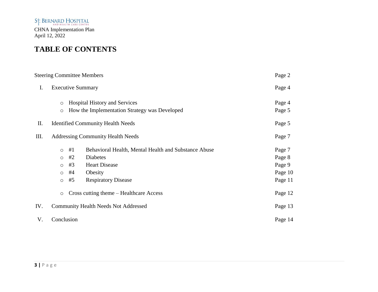# **TABLE OF CONTENTS**

|      | <b>Steering Committee Members</b>                                                 |                                                                                                                                          | Page 2                                           |
|------|-----------------------------------------------------------------------------------|------------------------------------------------------------------------------------------------------------------------------------------|--------------------------------------------------|
| I.   | <b>Executive Summary</b>                                                          |                                                                                                                                          | Page 4                                           |
|      | $\circ$<br>$\circ$                                                                | <b>Hospital History and Services</b><br>How the Implementation Strategy was Developed                                                    | Page 4<br>Page 5                                 |
| II.  |                                                                                   | <b>Identified Community Health Needs</b>                                                                                                 | Page 5                                           |
| III. |                                                                                   | <b>Addressing Community Health Needs</b>                                                                                                 | Page 7                                           |
|      | #1<br>$\circ$<br>#2<br>$\circ$<br>#3<br>$\circ$<br>#4<br>$\circ$<br>#5<br>$\circ$ | Behavioral Health, Mental Health and Substance Abuse<br><b>Diabetes</b><br><b>Heart Disease</b><br>Obesity<br><b>Respiratory Disease</b> | Page 7<br>Page 8<br>Page 9<br>Page 10<br>Page 11 |
|      | $\circ$                                                                           | Cross cutting theme – Healthcare Access                                                                                                  | Page 12                                          |
| IV.  |                                                                                   | <b>Community Health Needs Not Addressed</b>                                                                                              | Page 13                                          |
| V.   | Conclusion                                                                        |                                                                                                                                          | Page 14                                          |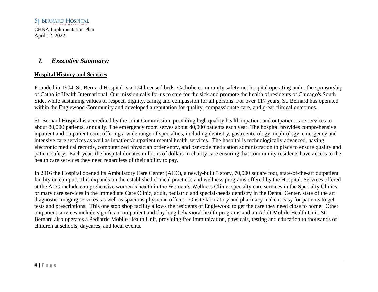# *I. Executive Summary:*

#### **Hospital History and Services**

Founded in 1904, St. Bernard Hospital is a 174 licensed beds, Catholic community safety-net hospital operating under the sponsorship of Catholic Health International. Our mission calls for us to care for the sick and promote the health of residents of Chicago's South Side, while sustaining values of respect, dignity, caring and compassion for all persons. For over 117 years, St. Bernard has operated within the Englewood Community and developed a reputation for quality, compassionate care, and great clinical outcomes.

St. Bernard Hospital is accredited by the Joint Commission, providing high quality health inpatient and outpatient care services to about 80,000 patients, annually. The emergency room serves about 40,000 patients each year. The hospital provides comprehensive inpatient and outpatient care, offering a wide range of specialties, including dentistry, gastroenterology, nephrology, emergency and intensive care services as well as inpatient/outpatient mental health services. The hospital is technologically advanced, having electronic medical records, computerized physician order entry, and bar code medication administration in place to ensure quality and patient safety. Each year, the hospital donates millions of dollars in charity care ensuring that community residents have access to the health care services they need regardless of their ability to pay.

In 2016 the Hospital opened its Ambulatory Care Center (ACC), a newly-built 3 story, 70,000 square foot, state-of-the-art outpatient facility on campus. This expands on the established clinical practices and wellness programs offered by the Hospital. Services offered at the ACC include comprehensive women's health in the Women's Wellness Clinic, specialty care services in the Specialty Clinics, primary care services in the Immediate Care Clinic, adult, pediatric and special-needs dentistry in the Dental Center, state of the art diagnostic imaging services; as well as spacious physician offices. Onsite laboratory and pharmacy make it easy for patients to get tests and prescriptions. This one stop shop facility allows the residents of Englewood to get the care they need close to home. Other outpatient services include significant outpatient and day long behavioral health programs and an Adult Mobile Health Unit. St. Bernard also operates a Pediatric Mobile Health Unit, providing free immunization, physicals, testing and education to thousands of children at schools, daycares, and local events.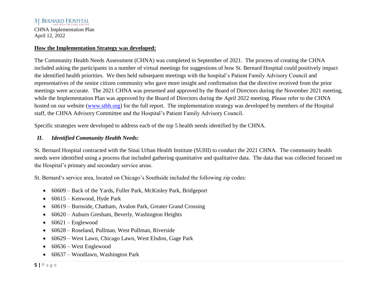#### St. BERNARD HOSPITAL

CHNA Implementation Plan April 12, 2022

#### **How the Implementation Strategy was developed:**

The Community Health Needs Assessment (CHNA) was completed in September of 2021. The process of creating the CHNA included asking the participants in a number of virtual meetings for suggestions of how St. Bernard Hospital could positively impact the identified health priorities. We then held subsequent meetings with the hospital's Patient Family Advisory Council and representatives of the senior citizen community who gave more insight and confirmation that the directive received from the prior meetings were accurate. The 2021 CHNA was presented and approved by the Board of Directors during the November 2021 meeting, while the Implementation Plan was approved by the Board of Directors during the April 2022 meeting. Please refer to the CHNA hosted on our website [\(www.stbh.org\)](http://www.stbh.org/) for the full report. The implementation strategy was developed by members of the Hospital staff, the CHNA Advisory Committee and the Hospital's Patient Family Advisory Council.

Specific strategies were developed to address each of the top 5 health needs identified by the CHNA.

#### *II. Identified Community Health Needs:*

St. Bernard Hospital contracted with the Sinai Urban Health Institute (SUHI) to conduct the 2021 CHNA. The community health needs were identified using a process that included gathering quantitative and qualitative data. The data that was collected focused on the Hospital's primary and secondary service areas.

St. Bernard's service area, located on Chicago's Southside included the following zip codes:

- 60609 Back of the Yards, Fuller Park, McKinley Park, Bridgeport
- 60615 Kenwood, Hyde Park
- 60619 Burnside, Chatham, Avalon Park, Greater Grand Crossing
- 60620 Auburn Gresham, Beverly, Washington Heights
- $\bullet$  60621 Englewood
- 60628 Roseland, Pullman, West Pullman, Riverside
- 60629 West Lawn, Chicago Lawn, West Elsdon, Gage Park
- 60636 West Englewood
- 60637 Woodlawn, Washington Park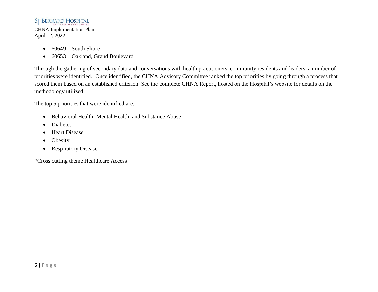# ST. BERNARD HOSPITAL

CHNA Implementation Plan April 12, 2022

- $\bullet$  60649 South Shore
- 60653 Oakland, Grand Boulevard

Through the gathering of secondary data and conversations with health practitioners, community residents and leaders, a number of priorities were identified. Once identified, the CHNA Advisory Committee ranked the top priorities by going through a process that scored them based on an established criterion. See the complete CHNA Report, hosted on the Hospital's website for details on the methodology utilized.

The top 5 priorities that were identified are:

- Behavioral Health, Mental Health, and Substance Abuse
- Diabetes
- Heart Disease
- Obesity
- Respiratory Disease

\*Cross cutting theme Healthcare Access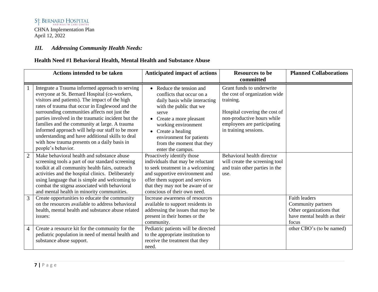#### *III. Addressing Community Health Needs:*

# **Health Need #1 Behavioral Health, Mental Health and Substance Abuse**

|                | <b>Actions intended to be taken</b>                                                                                                                                                                                                                                                                                                                                                                                                                                                                                                        | <b>Anticipated impact of actions</b>                                                                                                                                                                                                                                              | <b>Resources to be</b>                                                                                                                                                                         | <b>Planned Collaborations</b>                                                                                  |
|----------------|--------------------------------------------------------------------------------------------------------------------------------------------------------------------------------------------------------------------------------------------------------------------------------------------------------------------------------------------------------------------------------------------------------------------------------------------------------------------------------------------------------------------------------------------|-----------------------------------------------------------------------------------------------------------------------------------------------------------------------------------------------------------------------------------------------------------------------------------|------------------------------------------------------------------------------------------------------------------------------------------------------------------------------------------------|----------------------------------------------------------------------------------------------------------------|
|                |                                                                                                                                                                                                                                                                                                                                                                                                                                                                                                                                            |                                                                                                                                                                                                                                                                                   | committed                                                                                                                                                                                      |                                                                                                                |
|                | Integrate a Trauma informed approach to serving<br>everyone at St. Bernard Hospital (co-workers,<br>visitors and patients). The impact of the high<br>rates of trauma that occur in Englewood and the<br>surrounding communities affects not just the<br>parties involved in the traumatic incident but the<br>families and the community at large. A trauma<br>informed approach will help our staff to be more<br>understanding and have additional skills to deal<br>with how trauma presents on a daily basis in<br>people's behavior. | • Reduce the tension and<br>conflicts that occur on a<br>daily basis while interacting<br>with the public that we<br>serve<br>• Create a more pleasant<br>working environment<br>• Create a healing<br>environment for patients<br>from the moment that they<br>enter the campus. | Grant funds to underwrite<br>the cost of organization wide<br>training.<br>Hospital covering the cost of<br>non-productive hours while<br>employees are participating<br>in training sessions. |                                                                                                                |
| $\overline{2}$ | Make behavioral health and substance abuse<br>screening tools a part of our standard screening<br>toolkit at all community health fairs, outreach<br>activities and the hospital clinics. Deliberately<br>using language that is simple and welcoming to<br>combat the stigma associated with behavioral<br>and mental health in minority communities.                                                                                                                                                                                     | Proactively identify those<br>individuals that may be reluctant<br>to seek treatment in a welcoming<br>and supportive environment and<br>offer them support and services<br>that they may not be aware of or<br>conscious of their own need.                                      | Behavioral health director<br>will create the screening tool<br>and train other parties in the<br>use.                                                                                         |                                                                                                                |
| 3              | Create opportunities to educate the community<br>on the resources available to address behavioral<br>health, mental health and substance abuse related<br>issues:                                                                                                                                                                                                                                                                                                                                                                          | Increase awareness of resources<br>available to support residents in<br>addressing the issues that may be<br>present in their homes or the<br>community.                                                                                                                          |                                                                                                                                                                                                | <b>Faith leaders</b><br>Community partners<br>Other organizations that<br>have mental health as their<br>focus |
| $\overline{4}$ | Create a resource kit for the community for the<br>pediatric population in need of mental health and<br>substance abuse support.                                                                                                                                                                                                                                                                                                                                                                                                           | Pediatric patients will be directed<br>to the appropriate institution to<br>receive the treatment that they<br>need.                                                                                                                                                              |                                                                                                                                                                                                | other CBO's (to be named)                                                                                      |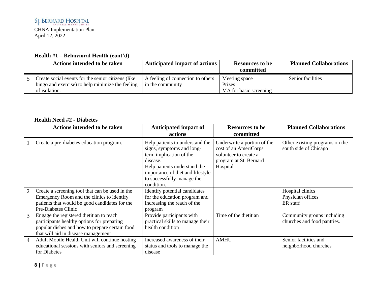# **Health #1 – Behavioral Health (cont'd)**

| <b>Actions intended to be taken</b>                                                                                     | Anticipated impact of actions                         | <b>Resources to be</b><br>committed               | <b>Planned Collaborations</b> |
|-------------------------------------------------------------------------------------------------------------------------|-------------------------------------------------------|---------------------------------------------------|-------------------------------|
| Create social events for the senior citizens (like<br>bingo and exercise) to help minimize the feeling<br>of isolation. | A feeling of connection to others<br>in the community | Meeting space<br>Prizes<br>MA for basic screening | Senior facilities             |

#### **Health Need #2 - Diabetes**

|                | <b>Actions intended to be taken</b>                                                                                                                                             | Anticipated impact of<br>actions                                                                                                                                                                                    | <b>Resources to be</b><br>committed                                                                                 | <b>Planned Collaborations</b>                             |
|----------------|---------------------------------------------------------------------------------------------------------------------------------------------------------------------------------|---------------------------------------------------------------------------------------------------------------------------------------------------------------------------------------------------------------------|---------------------------------------------------------------------------------------------------------------------|-----------------------------------------------------------|
|                | Create a pre-diabetes education program.                                                                                                                                        | Help patients to understand the<br>signs, symptoms and long-<br>term implication of the<br>disease.<br>Help patients understand the<br>importance of diet and lifestyle<br>to successfully manage the<br>condition. | Underwrite a portion of the<br>cost of an AmeriCorps<br>volunteer to create a<br>program at St. Bernard<br>Hospital | Other existing programs on the<br>south side of Chicago   |
| $\overline{2}$ | Create a screening tool that can be used in the<br>Emergency Room and the clinics to identify<br>patients that would be good candidates for the<br>Pre-Diabetes Clinic          | Identify potential candidates<br>for the education program and<br>increasing the reach of the<br>program                                                                                                            |                                                                                                                     | Hospital clinics<br>Physician offices<br>ER staff         |
| $\overline{3}$ | Engage the registered dietitian to teach<br>participants healthy options for preparing<br>popular dishes and how to prepare certain food<br>that will aid in disease management | Provide participants with<br>practical skills to manage their<br>health condition                                                                                                                                   | Time of the dietitian                                                                                               | Community groups including<br>churches and food pantries. |
| $\overline{4}$ | Adult Mobile Health Unit will continue hosting<br>educational sessions with seniors and screening<br>for Diabetes                                                               | Increased awareness of their<br>status and tools to manage the<br>disease                                                                                                                                           | <b>AMHU</b>                                                                                                         | Senior facilities and<br>neighborhood churches            |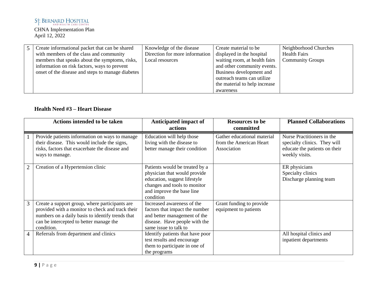| Create informational packet that can be shared    | Knowledge of the disease       | Create material to be         | Neighborhood Churches   |
|---------------------------------------------------|--------------------------------|-------------------------------|-------------------------|
| with members of the class and community           | Direction for more information | displayed in the hospital     | <b>Health Fairs</b>     |
| members that speaks about the symptoms, risks,    | Local resources                | waiting room, at health fairs | <b>Community Groups</b> |
| information on risk factors, ways to prevent      |                                | and other community events.   |                         |
| onset of the disease and steps to manage diabetes |                                | Business development and      |                         |
|                                                   |                                | outreach teams can utilize    |                         |
|                                                   |                                | the material to help increase |                         |
|                                                   |                                | awareness                     |                         |

# **Health Need #3 – Heart Disease**

|                | <b>Actions intended to be taken</b>                                                                                                                                                                             | Anticipated impact of<br>actions                                                                                                                                         | <b>Resources to be</b><br>committed                                   | <b>Planned Collaborations</b>                                                                                 |
|----------------|-----------------------------------------------------------------------------------------------------------------------------------------------------------------------------------------------------------------|--------------------------------------------------------------------------------------------------------------------------------------------------------------------------|-----------------------------------------------------------------------|---------------------------------------------------------------------------------------------------------------|
|                | Provide patients information on ways to manage<br>their disease. This would include the signs,<br>risks, factors that exacerbate the disease and<br>ways to manage.                                             | Education will help those<br>living with the disease to<br>better manage their condition                                                                                 | Gather educational material<br>from the American Heart<br>Association | Nurse Practitioners in the<br>specialty clinics. They will<br>educate the patients on their<br>weekly visits. |
| $\overline{2}$ | Creation of a Hypertension clinic                                                                                                                                                                               | Patients would be treated by a<br>physician that would provide<br>education, suggest lifestyle<br>changes and tools to monitor<br>and improve the base line<br>condition |                                                                       | ER physicians<br>Specialty clinics<br>Discharge planning team                                                 |
| 3              | Create a support group, where participants are<br>provided with a monitor to check and track their<br>numbers on a daily basis to identify trends that<br>can be intercepted to better manage the<br>condition. | Increased awareness of the<br>factors that impact the number<br>and better management of the<br>disease. Have people with the<br>same issue to talk to                   | Grant funding to provide<br>equipment to patients                     |                                                                                                               |
| 4              | Referrals from department and clinics                                                                                                                                                                           | Identify patients that have poor<br>test results and encourage<br>them to participate in one of<br>the programs                                                          |                                                                       | All hospital clinics and<br>inpatient departments                                                             |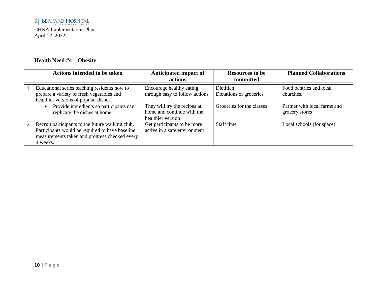# **Health Need #4 – Obesity**

|   | <b>Actions intended to be taken</b>                                                                                                                                                                            | Anticipated impact of<br>actions                                                                                                              | <b>Resources to be</b><br>committed                              | <b>Planned Collaborations</b>                                                          |
|---|----------------------------------------------------------------------------------------------------------------------------------------------------------------------------------------------------------------|-----------------------------------------------------------------------------------------------------------------------------------------------|------------------------------------------------------------------|----------------------------------------------------------------------------------------|
|   | Educational series teaching residents how to<br>prepare a variety of fresh vegetables and<br>healthier versions of popular dishes.<br>Provide ingredients so participants can<br>replicate the dishes at home. | Encourage healthy eating<br>through easy to follow actions<br>They will try the recipes at<br>home and continue with the<br>healthier version | Dietitian<br>Donations of groceries<br>Groceries for the classes | Food pantries and local<br>churches.<br>Partner with local farms and<br>grocery stores |
| 2 | Recruit participants to the future walking club.<br>Participants would be required to have baseline<br>measurements taken and progress checked every<br>4 weeks.                                               | Get participants to be more<br>active in a safe environment                                                                                   | Staff time                                                       | Local schools (for space)                                                              |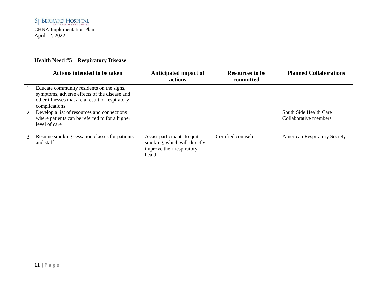# **Health Need #5 – Respiratory Disease**

|                | <b>Actions intended to be taken</b>                                                                                                                             | Anticipated impact of<br>actions                                                                   | <b>Resources to be</b><br>committed | <b>Planned Collaborations</b>                   |
|----------------|-----------------------------------------------------------------------------------------------------------------------------------------------------------------|----------------------------------------------------------------------------------------------------|-------------------------------------|-------------------------------------------------|
|                | Educate community residents on the signs,<br>symptoms, adverse effects of the disease and<br>other illnesses that are a result of respiratory<br>complications. |                                                                                                    |                                     |                                                 |
| $\overline{2}$ | Develop a list of resources and connections<br>where patients can be referred to for a higher<br>level of care                                                  |                                                                                                    |                                     | South Side Health Care<br>Collaborative members |
| 3              | Resume smoking cessation classes for patients<br>and staff                                                                                                      | Assist participants to quit<br>smoking, which will directly<br>improve their respiratory<br>health | Certified counselor                 | <b>American Respiratory Society</b>             |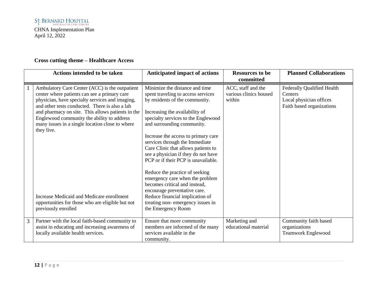# **Cross cutting theme – Healthcare Access**

|   | <b>Actions intended to be taken</b>                                                                                                                                                                                                                                                                                                                                                                                  | <b>Anticipated impact of actions</b>                                                                                                                                                                                                                                                                                                                                                                                                                                                                                                                                                 | <b>Resources to be</b>                                 | <b>Planned Collaborations</b>                                                                        |
|---|----------------------------------------------------------------------------------------------------------------------------------------------------------------------------------------------------------------------------------------------------------------------------------------------------------------------------------------------------------------------------------------------------------------------|--------------------------------------------------------------------------------------------------------------------------------------------------------------------------------------------------------------------------------------------------------------------------------------------------------------------------------------------------------------------------------------------------------------------------------------------------------------------------------------------------------------------------------------------------------------------------------------|--------------------------------------------------------|------------------------------------------------------------------------------------------------------|
|   |                                                                                                                                                                                                                                                                                                                                                                                                                      |                                                                                                                                                                                                                                                                                                                                                                                                                                                                                                                                                                                      | committed                                              |                                                                                                      |
|   | Ambulatory Care Center (ACC) is the outpatient<br>center where patients can see a primary care<br>physician, have specialty services and imaging,<br>and other tests conducted. There is also a lab<br>and pharmacy on site. This allows patients in the<br>Englewood community the ability to address<br>many issues in a single location close to where<br>they live.<br>Increase Medicaid and Medicare enrollment | Minimize the distance and time<br>spent traveling to access services<br>by residents of the community.<br>Increasing the availability of<br>specialty services to the Englewood<br>and surrounding community.<br>Increase the access to primary care<br>services through the Immediate<br>Care Clinic that allows patients to<br>see a physician if they do not have<br>PCP or if their PCP is unavailable.<br>Reduce the practice of seeking<br>emergency care when the problem<br>becomes critical and instead,<br>encourage preventative care.<br>Reduce financial implication of | ACC, staff and the<br>various clinics housed<br>within | <b>Federally Qualified Health</b><br>Centers<br>Local physician offices<br>Faith based organizations |
|   | opportunities for those who are eligible but not<br>previously enrolled                                                                                                                                                                                                                                                                                                                                              | treating non-emergency issues in<br>the Emergency Room                                                                                                                                                                                                                                                                                                                                                                                                                                                                                                                               |                                                        |                                                                                                      |
| 3 | Partner with the local faith-based community to<br>assist in educating and increasing awareness of<br>locally available health services.                                                                                                                                                                                                                                                                             | Ensure that more community<br>members are informed of the many<br>services available in the<br>community.                                                                                                                                                                                                                                                                                                                                                                                                                                                                            | Marketing and<br>educational material                  | Community faith based<br>organizations<br><b>Teamwork Englewood</b>                                  |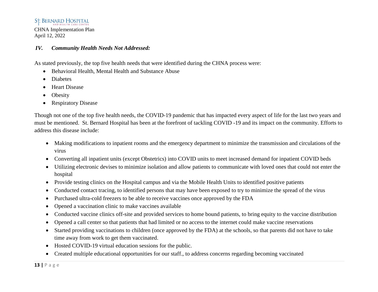#### St. BERNARD HOSPITAL

CHNA Implementation Plan April 12, 2022

#### *IV. Community Health Needs Not Addressed:*

As stated previously, the top five health needs that were identified during the CHNA process were:

- Behavioral Health, Mental Health and Substance Abuse
- Diabetes
- Heart Disease
- Obesity
- Respiratory Disease

Though not one of the top five health needs, the COVID-19 pandemic that has impacted every aspect of life for the last two years and must be mentioned. St. Bernard Hospital has been at the forefront of tackling COVID -19 and its impact on the community. Efforts to address this disease include:

- Making modifications to inpatient rooms and the emergency department to minimize the transmission and circulations of the virus
- Converting all inpatient units (except Obstetrics) into COVID units to meet increased demand for inpatient COVID beds
- Utilizing electronic devises to minimize isolation and allow patients to communicate with loved ones that could not enter the hospital
- Provide testing clinics on the Hospital campus and via the Mobile Health Units to identified positive patients
- Conducted contact tracing, to identified persons that may have been exposed to try to minimize the spread of the virus
- Purchased ultra-cold freezers to be able to receive vaccines once approved by the FDA
- Opened a vaccination clinic to make vaccines available
- Conducted vaccine clinics off-site and provided services to home bound patients, to bring equity to the vaccine distribution
- Opened a call center so that patients that had limited or no access to the internet could make vaccine reservations
- Started providing vaccinations to children (once approved by the FDA) at the schools, so that parents did not have to take time away from work to get them vaccinated.
- Hosted COVID-19 virtual education sessions for the public.
- Created multiple educational opportunities for our staff., to address concerns regarding becoming vaccinated